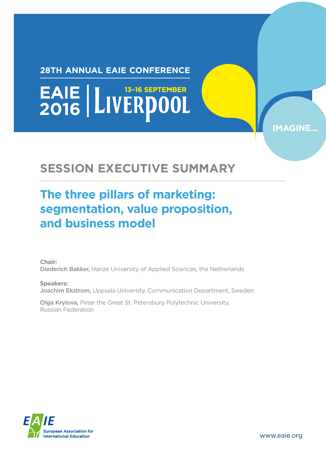#### **28TH ANNUAL EAIE CONFERENCE**

EAIE | LIVERDOOL

### **SESSION EXECUTIVE SUMMARY**

#### **The three pillars of marketing: segmentation, value proposition, and business model**

**Chair:**  Diederich Bakker, Hanze University of Applied Sciences, the Netherlands

**Speakers:**  Joachim Ekstrom, Uppsala University, Communication Department, Sweden

Olga Krylova, Peter the Great St. Petersburg Polytechnic University, Russian Federation



www.eaie.org

**IMAGINE**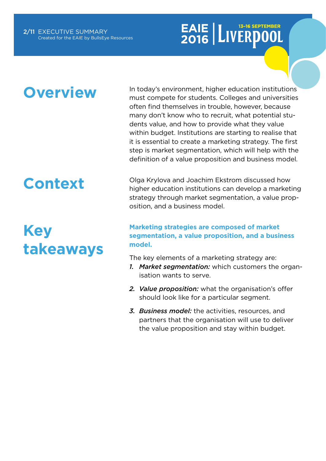### **Overview**

In today's environment, higher education institutions must compete for students. Colleges and universities often find themselves in trouble, however, because many don't know who to recruit, what potential students value, and how to provide what they value within budget. Institutions are starting to realise that it is essential to create a marketing strategy. The first step is market segmentation, which will help with the definition of a value proposition and business model.

## **Context**

**Key takeaways** Olga Krylova and Joachim Ekstrom discussed how higher education institutions can develop a marketing strategy through market segmentation, a value proposition, and a business model.

#### **Marketing strategies are composed of market segmentation, a value proposition, and a business model.**

The key elements of a marketing strategy are:

- *1. Market segmentation:* which customers the organisation wants to serve.
- *2. Value proposition:* what the organisation's offer should look like for a particular segment.
- *3. Business model:* the activities, resources, and partners that the organisation will use to deliver the value proposition and stay within budget.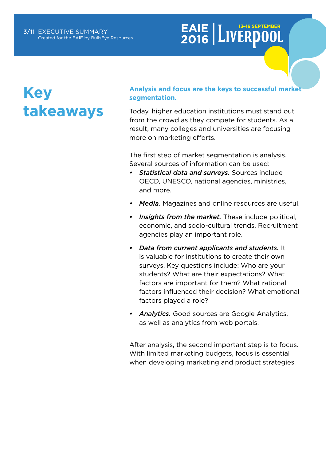## **Key takeaways**

#### **Analysis and focus are the keys to successful market segmentation.**

Today, higher education institutions must stand out from the crowd as they compete for students. As a result, many colleges and universities are focusing more on marketing efforts.

The first step of market segmentation is analysis. Several sources of information can be used:

- *• Statistical data and surveys.* Sources include OECD, UNESCO, national agencies, ministries, and more.
- *• Media.* Magazines and online resources are useful.
- *• Insights from the market.* These include political, economic, and socio-cultural trends. Recruitment agencies play an important role.
- *• Data from current applicants and students.* It is valuable for institutions to create their own surveys. Key questions include: Who are your students? What are their expectations? What factors are important for them? What rational factors influenced their decision? What emotional factors played a role?
- *• Analytics.* Good sources are Google Analytics, as well as analytics from web portals.

After analysis, the second important step is to focus. With limited marketing budgets, focus is essential when developing marketing and product strategies.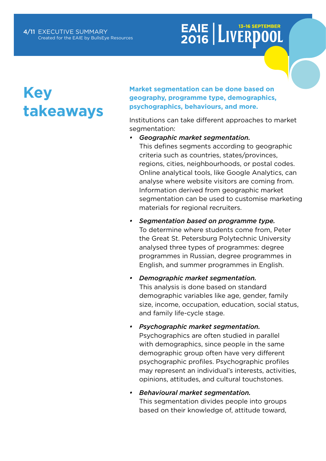### **Key takeaways**

**Market segmentation can be done based on geography, programme type, demographics, psychographics, behaviours, and more.**

Institutions can take different approaches to market segmentation:

*• Geographic market segmentation.* This defines segments according to geographic criteria such as countries, states/provinces, regions, cities, neighbourhoods, or postal codes. Online analytical tools, like Google Analytics, can analyse where website visitors are coming from. Information derived from geographic market segmentation can be used to customise marketing materials for regional recruiters.

- *• Segmentation based on programme type.* To determine where students come from, Peter the Great St. Petersburg Polytechnic University analysed three types of programmes: degree programmes in Russian, degree programmes in English, and summer programmes in English.
- *• Demographic market segmentation.* This analysis is done based on standard demographic variables like age, gender, family size, income, occupation, education, social status, and family life-cycle stage.
- *• Psychographic market segmentation.* Psychographics are often studied in parallel with demographics, since people in the same demographic group often have very different psychographic profiles. Psychographic profiles may represent an individual's interests, activities, opinions, attitudes, and cultural touchstones.
- *• Behavioural market segmentation.* This segmentation divides people into groups based on their knowledge of, attitude toward,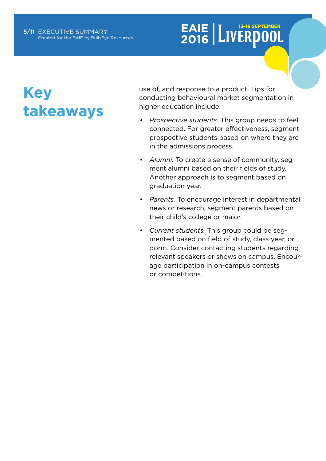### **Key takeaways**

use of, and response to a product. Tips for conducting behavioural market segmentation in higher education include:

- *• Prospective students.* This group needs to feel connected. For greater effectiveness, segment prospective students based on where they are in the admissions process.
- *• Alumni.* To create a sense of community, segment alumni based on their fields of study. Another approach is to segment based on graduation year.
- *• Parents.* To encourage interest in departmental news or research, segment parents based on their child's college or major.
- *• Current students.* This group could be segmented based on field of study, class year, or dorm. Consider contacting students regarding relevant speakers or shows on campus. Encourage participation in on-campus contests or competitions.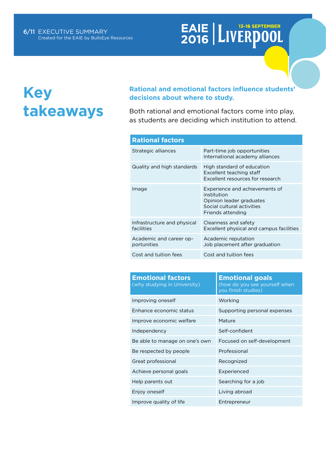### **Key takeaways**

#### **Rational and emotional factors influence students' decisions about where to study.**

Both rational and emotional factors come into play, as students are deciding which institution to attend.

| <b>Rational factors</b>                   |                                                                                                                              |  |  |
|-------------------------------------------|------------------------------------------------------------------------------------------------------------------------------|--|--|
| Strategic alliances                       | Part-time job opportunities<br>International academy alliances                                                               |  |  |
| Quality and high standards                | High standard of education<br>Excellent teaching staff<br>Excellent resources for research                                   |  |  |
| Image                                     | Experience and achievements of<br>institution<br>Opinion leader graduates<br>Social cultural activities<br>Friends attending |  |  |
| Infrastructure and physical<br>facilities | Cleanness and safety<br>Excellent physical and campus facilities                                                             |  |  |
| Academic and career op-<br>portunities    | Academic reputation<br>Job placement after graduation                                                                        |  |  |
| Cost and tuition fees                     | Cost and tuition fees                                                                                                        |  |  |

| <b>Emotional factors</b><br>(why studying in University) | <b>Emotional goals</b><br>(how do you see yourself when<br>you finish studies) |  |  |
|----------------------------------------------------------|--------------------------------------------------------------------------------|--|--|
| Improving oneself                                        | Working                                                                        |  |  |
| Enhance economic status                                  | Supporting personal expenses                                                   |  |  |
| Improve economic welfare                                 | Mature                                                                         |  |  |
| Independency                                             | Self-confident                                                                 |  |  |
| Be able to manage on one's own                           | Focused on self-development                                                    |  |  |
| Be respected by people                                   | Professional                                                                   |  |  |
| Great professional                                       | Recognized                                                                     |  |  |
| Achieve personal goals                                   | Experienced                                                                    |  |  |
| Help parents out                                         | Searching for a job                                                            |  |  |
| Enjoy oneself                                            | Living abroad                                                                  |  |  |
| Improve quality of life                                  | Entrepreneur                                                                   |  |  |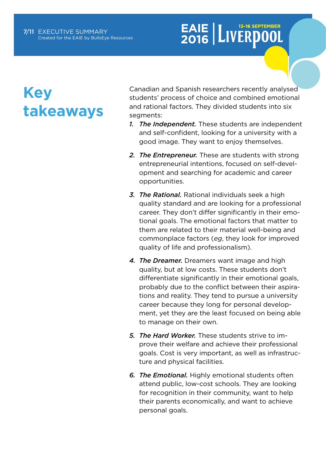## **Key takeaways**

Canadian and Spanish researchers recently analysed students' process of choice and combined emotional and rational factors. They divided students into six segments:

- *1. The Independent.* These students are independent and self-confident, looking for a university with a good image. They want to enjoy themselves.
- *2. The Entrepreneur.* These are students with strong entrepreneurial intentions, focused on self-development and searching for academic and career opportunities.
- *3. The Rational.* Rational individuals seek a high quality standard and are looking for a professional career. They don't differ significantly in their emotional goals. The emotional factors that matter to them are related to their material well-being and commonplace factors (*eg*, they look for improved quality of life and professionalism).
- *4. The Dreamer.* Dreamers want image and high quality, but at low costs. These students don't differentiate significantly in their emotional goals, probably due to the conflict between their aspirations and reality. They tend to pursue a university career because they long for personal development, yet they are the least focused on being able to manage on their own.
- *5. The Hard Worker.* These students strive to improve their welfare and achieve their professional goals. Cost is very important, as well as infrastructure and physical facilities.
- *6. The Emotional.* Highly emotional students often attend public, low-cost schools. They are looking for recognition in their community, want to help their parents economically, and want to achieve personal goals.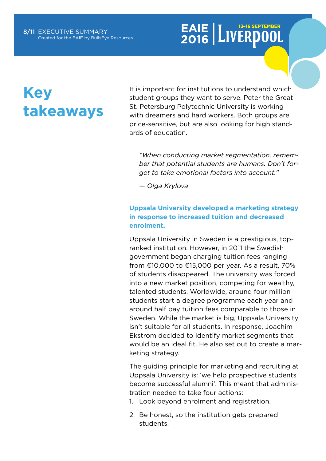## **Key takeaways**

It is important for institutions to understand which student groups they want to serve. Peter the Great St. Petersburg Polytechnic University is working with dreamers and hard workers. Both groups are price-sensitive, but are also looking for high standards of education.

*"When conducting market segmentation, remember that potential students are humans. Don't forget to take emotional factors into account."* 

*— Olga Krylova*

#### **Uppsala University developed a marketing strategy in response to increased tuition and decreased enrolment.**

Uppsala University in Sweden is a prestigious, topranked institution. However, in 2011 the Swedish government began charging tuition fees ranging from €10,000 to €15,000 per year. As a result, 70% of students disappeared. The university was forced into a new market position, competing for wealthy, talented students. Worldwide, around four million students start a degree programme each year and around half pay tuition fees comparable to those in Sweden. While the market is big, Uppsala University isn't suitable for all students. In response, Joachim Ekstrom decided to identify market segments that would be an ideal fit. He also set out to create a marketing strategy.

The guiding principle for marketing and recruiting at Uppsala University is: 'we help prospective students become successful alumni'. This meant that administration needed to take four actions:

- 1. Look beyond enrolment and registration.
- 2. Be honest, so the institution gets prepared students.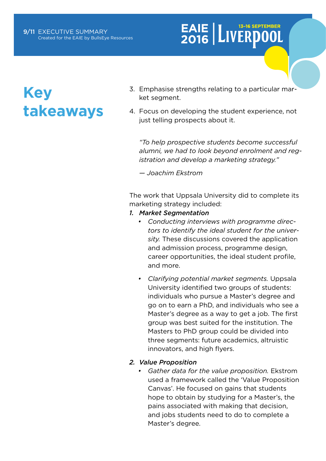### **Key takeaways**

- 3. Emphasise strengths relating to a particular market segment.
- 4. Focus on developing the student experience, not just telling prospects about it.

*"To help prospective students become successful alumni, we had to look beyond enrolment and registration and develop a marketing strategy."* 

*— Joachim Ekstrom*

The work that Uppsala University did to complete its marketing strategy included:

- *1. Market Segmentation*
	- *• Conducting interviews with programme directors to identify the ideal student for the university.* These discussions covered the application and admission process, programme design, career opportunities, the ideal student profile, and more.
	- *• Clarifying potential market segments.* Uppsala University identified two groups of students: individuals who pursue a Master's degree and go on to earn a PhD, and individuals who see a Master's degree as a way to get a job. The first group was best suited for the institution. The Masters to PhD group could be divided into three segments: future academics, altruistic innovators, and high flyers.

#### *2. Value Proposition*

*• Gather data for the value proposition.* Ekstrom used a framework called the 'Value Proposition Canvas'. He focused on gains that students hope to obtain by studying for a Master's, the pains associated with making that decision, and jobs students need to do to complete a Master's degree.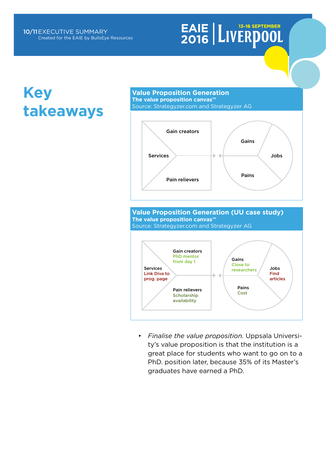### **Key takeaways**

#### **Value Proposition Generation The value proposition canvas™** Source: Strategyzer.com and Strategyzer AG



#### **Value Proposition Generation (UU case study) The value proposition canvas™**



*• Finalise the value proposition.* Uppsala University's value proposition is that the institution is a great place for students who want to go on to a PhD. position later, because 35% of its Master's graduates have earned a PhD.